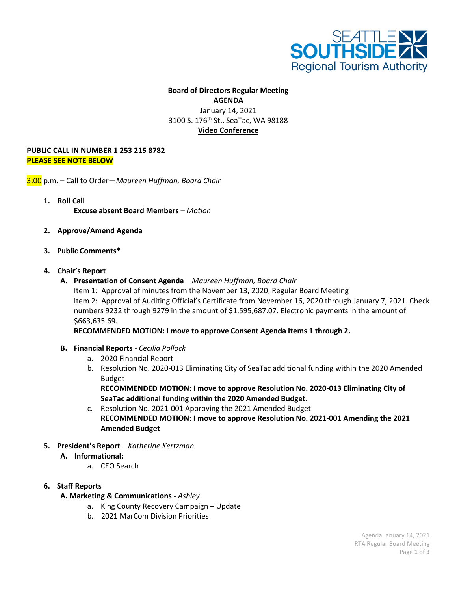

# **Board of Directors Regular Meeting AGENDA** January 14, 2021 3100 S. 176<sup>th</sup> St., SeaTac, WA 98188 **Video Conference**

#### **PUBLIC CALL IN NUMBER 1 253 215 8782 PLEASE SEE NOTE BELOW**

3:00 p.m. – Call to Order—*Maureen Huffman, Board Chair*

- **1. Roll Call Excuse absent Board Members** *– Motion*
- **2. Approve/Amend Agenda**
- **3. Public Comments\***

### **4. Chair's Report**

**A. Presentation of Consent Agenda** *– Maureen Huffman, Board Chair* Item 1: Approval of minutes from the November 13, 2020, Regular Board Meeting Item 2: Approval of Auditing Official's Certificate from November 16, 2020 through January 7, 2021. Check numbers 9232 through 9279 in the amount of \$1,595,687.07. Electronic payments in the amount of \$663,635.69.

**RECOMMENDED MOTION: I move to approve Consent Agenda Items 1 through 2.**

- **B. Financial Reports** *- Cecilia Pollock*
	- a. 2020 Financial Report
	- b. Resolution No. 2020-013 Eliminating City of SeaTac additional funding within the 2020 Amended Budget

**RECOMMENDED MOTION: I move to approve Resolution No. 2020-013 Eliminating City of SeaTac additional funding within the 2020 Amended Budget.**

- c. Resolution No. 2021-001 Approving the 2021 Amended Budget **RECOMMENDED MOTION: I move to approve Resolution No. 2021-001 Amending the 2021 Amended Budget**
- **5. President's Report** *– Katherine Kertzman*
	- **A. Informational:**
		- a. CEO Search

## **6. Staff Reports**

## **A. Marketing & Communications -** *Ashley*

- a. King County Recovery Campaign Update
- b. 2021 MarCom Division Priorities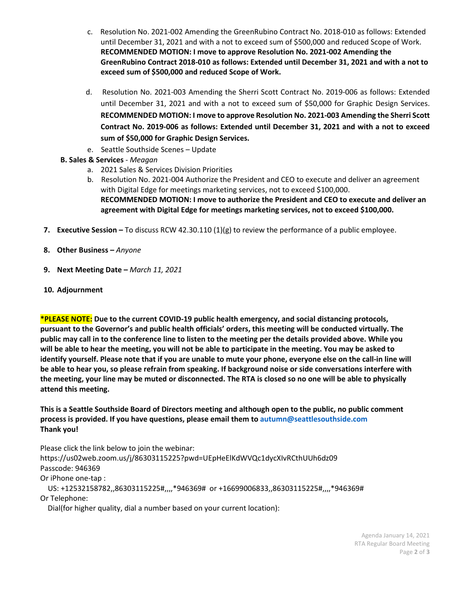- c. Resolution No. 2021-002 Amending the GreenRubino Contract No. 2018-010 as follows: Extended until December 31, 2021 and with a not to exceed sum of \$500,000 and reduced Scope of Work. **RECOMMENDED MOTION: I move to approve Resolution No. 2021-002 Amending the GreenRubino Contract 2018-010 as follows: Extended until December 31, 2021 and with a not to exceed sum of \$500,000 and reduced Scope of Work.**
- d. Resolution No. 2021-003 Amending the Sherri Scott Contract No. 2019-006 as follows: Extended until December 31, 2021 and with a not to exceed sum of \$50,000 for Graphic Design Services. **RECOMMENDED MOTION: I move to approve Resolution No. 2021-003 Amending the Sherri Scott Contract No. 2019-006 as follows: Extended until December 31, 2021 and with a not to exceed sum of \$50,000 for Graphic Design Services.**
- e. Seattle Southside Scenes Update
- **B. Sales & Services** *Meagan*
	- a. 2021 Sales & Services Division Priorities
	- b. Resolution No. 2021-004 Authorize the President and CEO to execute and deliver an agreement with Digital Edge for meetings marketing services, not to exceed \$100,000. **RECOMMENDED MOTION: I move to authorize the President and CEO to execute and deliver an agreement with Digital Edge for meetings marketing services, not to exceed \$100,000.**
- **7. Executive Session –** To discuss RCW 42.30.110 (1)(g) to review the performance of a public employee.
- **8. Other Business –** *Anyone*
- **9. Next Meeting Date –** *March 11, 2021*
- **10. Adjournment**

**\*PLEASE NOTE: Due to the current COVID-19 public health emergency, and social distancing protocols, pursuant to the Governor's and public health officials' orders, this meeting will be conducted virtually. The public may call in to the conference line to listen to the meeting per the details provided above. While you will be able to hear the meeting, you will not be able to participate in the meeting. You may be asked to identify yourself. Please note that if you are unable to mute your phone, everyone else on the call-in line will be able to hear you, so please refrain from speaking. If background noise or side conversations interfere with the meeting, your line may be muted or disconnected. The RTA is closed so no one will be able to physically attend this meeting.** 

**This is a Seattle Southside Board of Directors meeting and although open to the public, no public comment process is provided. If you have questions, please email them to autumn@seattlesouthside.com Thank you!**

Please click the link below to join the webinar:

https://us02web.zoom.us/j/86303115225?pwd=UEpHeElKdWVQc1dycXIvRCthUUh6dz09 Passcode: 946369

Or iPhone one-tap :

 US: +12532158782,,86303115225#,,,,\*946369# or +16699006833,,86303115225#,,,,\*946369# Or Telephone:

Dial(for higher quality, dial a number based on your current location):